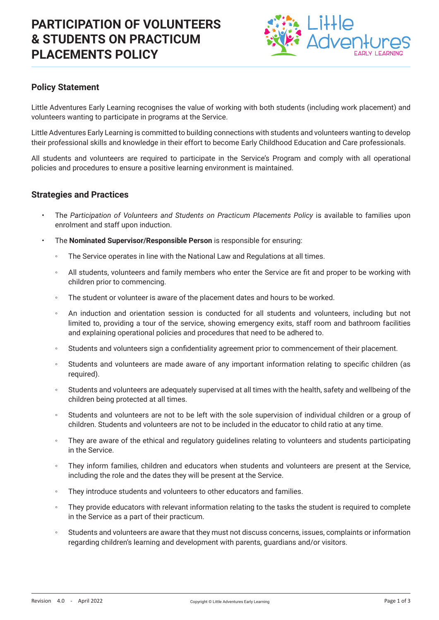# **PARTICIPATION OF VOLUNTEERS & STUDENTS ON PRACTICUM PLACEMENTS POLICY**



### **Policy Statement**

Little Adventures Early Learning recognises the value of working with both students (including work placement) and volunteers wanting to participate in programs at the Service.

Little Adventures Early Learning is committed to building connections with students and volunteers wanting to develop their professional skills and knowledge in their effort to become Early Childhood Education and Care professionals.

All students and volunteers are required to participate in the Service's Program and comply with all operational policies and procedures to ensure a positive learning environment is maintained.

#### **Strategies and Practices**

- The *Participation of Volunteers and Students on Practicum Placements Policy* is available to families upon enrolment and staff upon induction.
- The **Nominated Supervisor/Responsible Person** is responsible for ensuring:
	- The Service operates in line with the National Law and Regulations at all times.
	- All students, volunteers and family members who enter the Service are fit and proper to be working with children prior to commencing.
	- The student or volunteer is aware of the placement dates and hours to be worked.
	- An induction and orientation session is conducted for all students and volunteers, including but not limited to, providing a tour of the service, showing emergency exits, staff room and bathroom facilities and explaining operational policies and procedures that need to be adhered to.
	- Students and volunteers sign a confidentiality agreement prior to commencement of their placement.
	- Students and volunteers are made aware of any important information relating to specific children (as required).
	- Students and volunteers are adequately supervised at all times with the health, safety and wellbeing of the children being protected at all times.
	- Students and volunteers are not to be left with the sole supervision of individual children or a group of children. Students and volunteers are not to be included in the educator to child ratio at any time.
	- They are aware of the ethical and regulatory guidelines relating to volunteers and students participating in the Service.
	- They inform families, children and educators when students and volunteers are present at the Service, including the role and the dates they will be present at the Service.
	- They introduce students and volunteers to other educators and families.
	- They provide educators with relevant information relating to the tasks the student is required to complete in the Service as a part of their practicum.
	- Students and volunteers are aware that they must not discuss concerns, issues, complaints or information regarding children's learning and development with parents, guardians and/or visitors.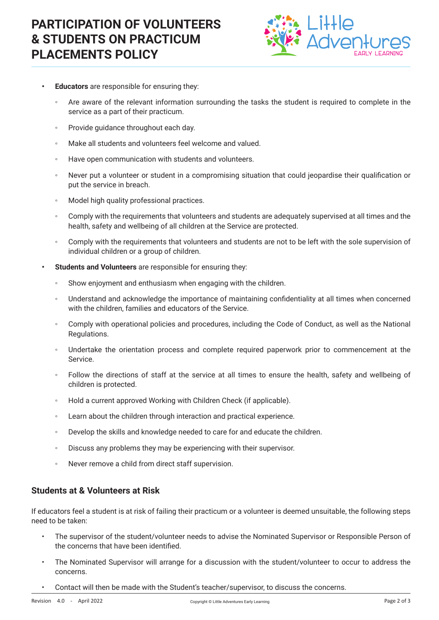# **PARTICIPATION OF VOLUNTEERS & STUDENTS ON PRACTICUM PLACEMENTS POLICY**



- **• Educators** are responsible for ensuring they:
	- Are aware of the relevant information surrounding the tasks the student is required to complete in the service as a part of their practicum.
	- Provide guidance throughout each day.
	- Make all students and volunteers feel welcome and valued.
	- Have open communication with students and volunteers.
	- Never put a volunteer or student in a compromising situation that could jeopardise their qualification or put the service in breach.
	- Model high quality professional practices.
	- Comply with the requirements that volunteers and students are adequately supervised at all times and the health, safety and wellbeing of all children at the Service are protected.
	- Comply with the requirements that volunteers and students are not to be left with the sole supervision of individual children or a group of children.
- **• Students and Volunteers** are responsible for ensuring they:
	- Show enjoyment and enthusiasm when engaging with the children.
	- Understand and acknowledge the importance of maintaining confidentiality at all times when concerned with the children, families and educators of the Service.
	- Comply with operational policies and procedures, including the Code of Conduct, as well as the National Regulations.
	- Undertake the orientation process and complete required paperwork prior to commencement at the Service.
	- Follow the directions of staff at the service at all times to ensure the health, safety and wellbeing of children is protected.
	- Hold a current approved Working with Children Check (if applicable).
	- Learn about the children through interaction and practical experience.
	- Develop the skills and knowledge needed to care for and educate the children.
	- Discuss any problems they may be experiencing with their supervisor.
	- Never remove a child from direct staff supervision.

#### **Students at & Volunteers at Risk**

If educators feel a student is at risk of failing their practicum or a volunteer is deemed unsuitable, the following steps need to be taken:

- The supervisor of the student/volunteer needs to advise the Nominated Supervisor or Responsible Person of the concerns that have been identified.
- The Nominated Supervisor will arrange for a discussion with the student/volunteer to occur to address the concerns.
- Contact will then be made with the Student's teacher/supervisor, to discuss the concerns.